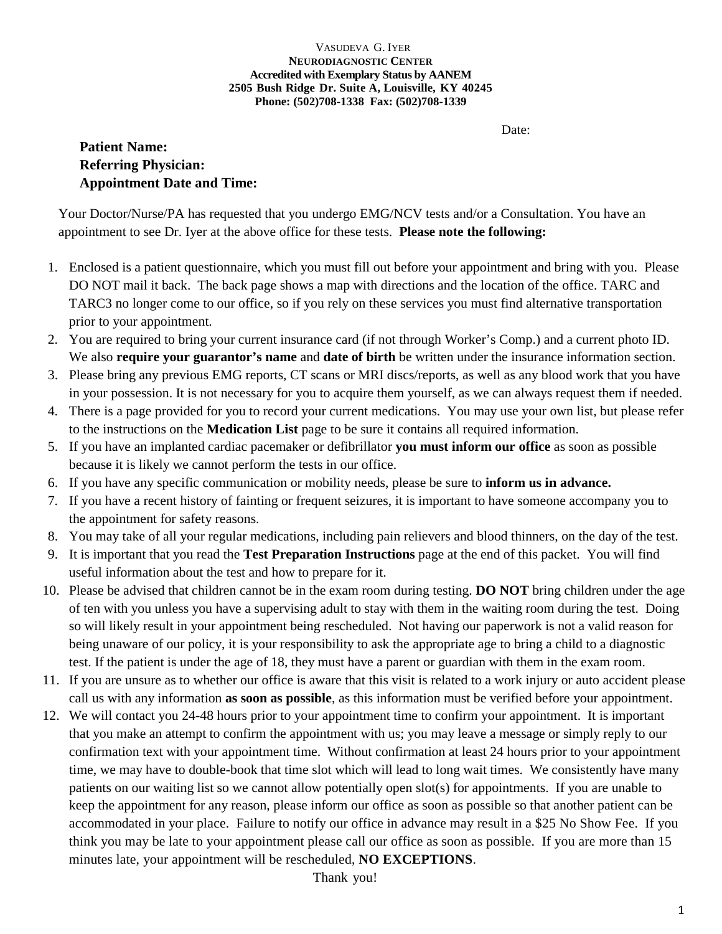# VASUDEVA G. IYER **NEURODIAGNOSTIC CENTER Accredited with Exemplary Status by AANEM 2505 Bush Ridge Dr. Suite A, Louisville, KY 40245 Phone: (502)708-1338 Fax: (502)708-1339**

Date:

# **Patient Name: Referring Physician: Appointment Date and Time:**

Your Doctor/Nurse/PA has requested that you undergo EMG/NCV tests and/or a Consultation. You have an appointment to see Dr. Iyer at the above office for these tests. **Please note the following:**

- 1. Enclosed is a patient questionnaire, which you must fill out before your appointment and bring with you. Please DO NOT mail it back. The back page shows a map with directions and the location of the office. TARC and TARC3 no longer come to our office, so if you rely on these services you must find alternative transportation prior to your appointment.
- 2. You are required to bring your current insurance card (if not through Worker's Comp.) and a current photo ID. We also **require your guarantor's name** and **date of birth** be written under the insurance information section.
- 3. Please bring any previous EMG reports, CT scans or MRI discs/reports, as well as any blood work that you have in your possession. It is not necessary for you to acquire them yourself, as we can always request them if needed.
- 4. There is a page provided for you to record your current medications. You may use your own list, but please refer to the instructions on the **Medication List** page to be sure it contains all required information.
- 5. If you have an implanted cardiac pacemaker or defibrillator **you must inform our office** as soon as possible because it is likely we cannot perform the tests in our office.
- 6. If you have any specific communication or mobility needs, please be sure to **inform us in advance.**
- 7. If you have a recent history of fainting or frequent seizures, it is important to have someone accompany you to the appointment for safety reasons.
- 8. You may take of all your regular medications, including pain relievers and blood thinners, on the day of the test.
- 9. It is important that you read the **Test Preparation Instructions** page at the end of this packet. You will find useful information about the test and how to prepare for it.
- 10. Please be advised that children cannot be in the exam room during testing. **DO NOT** bring children under the age of ten with you unless you have a supervising adult to stay with them in the waiting room during the test. Doing so will likely result in your appointment being rescheduled. Not having our paperwork is not a valid reason for being unaware of our policy, it is your responsibility to ask the appropriate age to bring a child to a diagnostic test. If the patient is under the age of 18, they must have a parent or guardian with them in the exam room.
- 11. If you are unsure as to whether our office is aware that this visit is related to a work injury or auto accident please call us with any information **as soon as possible**, as this information must be verified before your appointment.
- 12. We will contact you 24-48 hours prior to your appointment time to confirm your appointment. It is important that you make an attempt to confirm the appointment with us; you may leave a message or simply reply to our confirmation text with your appointment time. Without confirmation at least 24 hours prior to your appointment time, we may have to double-book that time slot which will lead to long wait times. We consistently have many patients on our waiting list so we cannot allow potentially open slot(s) for appointments. If you are unable to keep the appointment for any reason, please inform our office as soon as possible so that another patient can be accommodated in your place. Failure to notify our office in advance may result in a \$25 No Show Fee. If you think you may be late to your appointment please call our office as soon as possible. If you are more than 15 minutes late, your appointment will be rescheduled, **NO EXCEPTIONS**.

Thank you!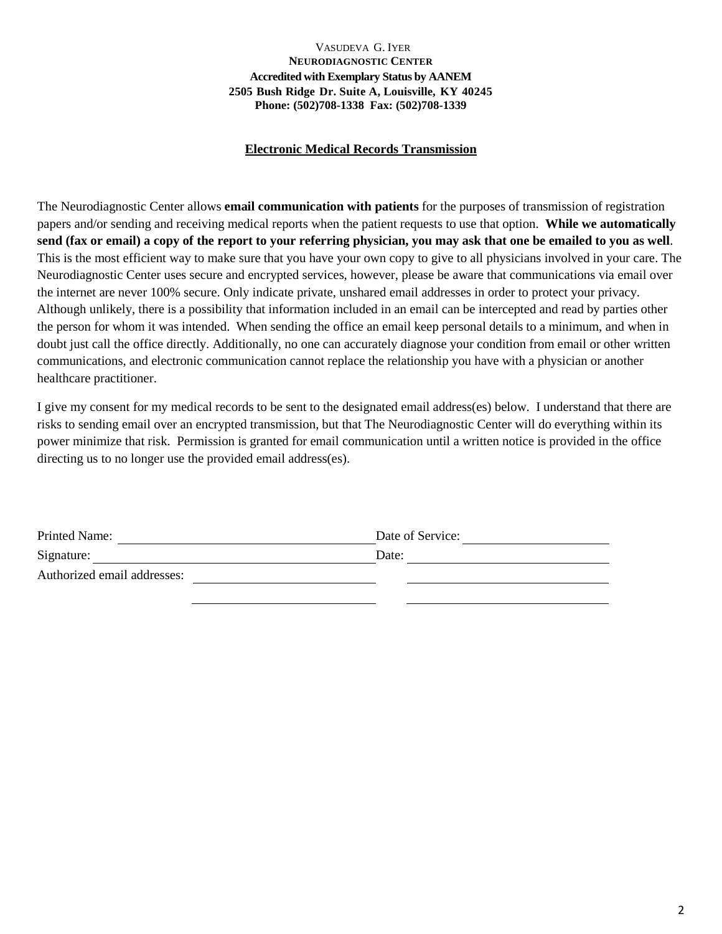# VASUDEVA G. IYER **NEURODIAGNOSTIC CENTER Accredited with Exemplary Status by AANEM 2505 Bush Ridge Dr. Suite A, Louisville, KY 40245 Phone: (502)708-1338 Fax: (502)708-1339**

# **Electronic Medical Records Transmission**

The Neurodiagnostic Center allows **email communication with patients** for the purposes of transmission of registration papers and/or sending and receiving medical reports when the patient requests to use that option. **While we automatically send (fax or email) a copy of the report to your referring physician, you may ask that one be emailed to you as well**. This is the most efficient way to make sure that you have your own copy to give to all physicians involved in your care. The Neurodiagnostic Center uses secure and encrypted services, however, please be aware that communications via email over the internet are never 100% secure. Only indicate private, unshared email addresses in order to protect your privacy. Although unlikely, there is a possibility that information included in an email can be intercepted and read by parties other the person for whom it was intended. When sending the office an email keep personal details to a minimum, and when in doubt just call the office directly. Additionally, no one can accurately diagnose your condition from email or other written communications, and electronic communication cannot replace the relationship you have with a physician or another healthcare practitioner.

I give my consent for my medical records to be sent to the designated email address(es) below. I understand that there are risks to sending email over an encrypted transmission, but that The Neurodiagnostic Center will do everything within its power minimize that risk. Permission is granted for email communication until a written notice is provided in the office directing us to no longer use the provided email address(es).

| Printed Name:               | Date of Service: |
|-----------------------------|------------------|
| Signature:                  | Date:            |
| Authorized email addresses: |                  |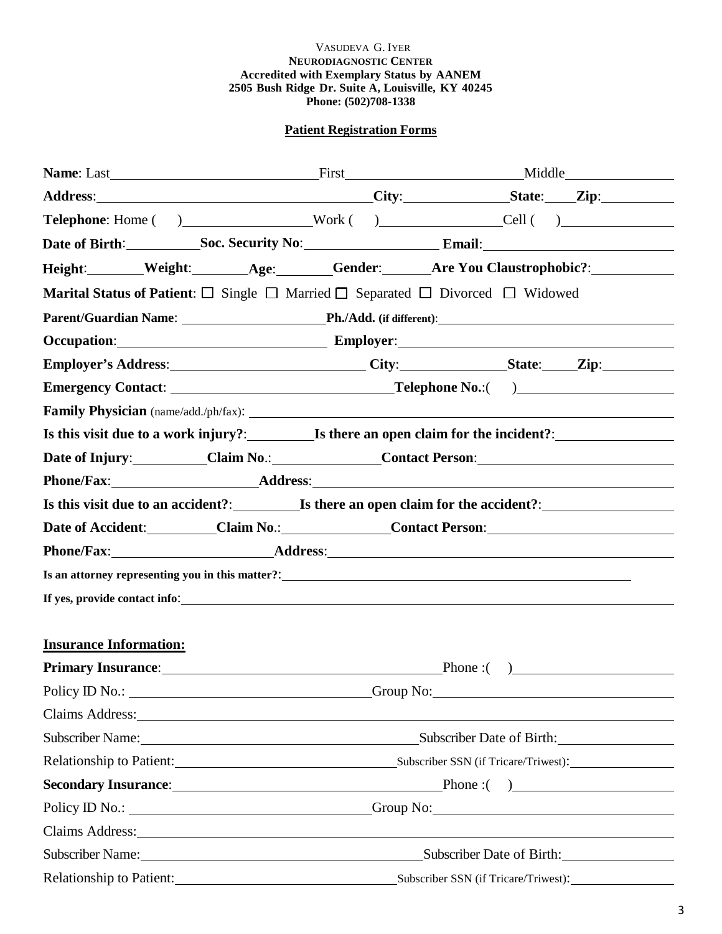# VASUDEVA G. IYER **NEURODIAGNOSTIC CENTER Accredited with Exemplary Status by AANEM 2505 Bush Ridge Dr. Suite A, Louisville, KY 40245 Phone: (502)708-1338**

# **Patient Registration Forms**

| Address: City: State: Zip:                                                                                                                                                                                                             |                                                                                                    |                                                                  |  |  |                           |  |
|----------------------------------------------------------------------------------------------------------------------------------------------------------------------------------------------------------------------------------------|----------------------------------------------------------------------------------------------------|------------------------------------------------------------------|--|--|---------------------------|--|
|                                                                                                                                                                                                                                        |                                                                                                    |                                                                  |  |  |                           |  |
| Date of Birth: Soc. Security No: Email: Email:                                                                                                                                                                                         |                                                                                                    |                                                                  |  |  |                           |  |
| Height: Weight: Age: Gender: Are You Claustrophobic?: Weight:                                                                                                                                                                          |                                                                                                    |                                                                  |  |  |                           |  |
| <b>Marital Status of Patient:</b> $\Box$ Single $\Box$ Married $\Box$ Separated $\Box$ Divorced $\Box$ Widowed                                                                                                                         |                                                                                                    |                                                                  |  |  |                           |  |
| Parent/Guardian Name: Ph./Add. (if different): Name and Solid Ph./Add. (if different):                                                                                                                                                 |                                                                                                    |                                                                  |  |  |                           |  |
| Occupation: Employer: Employer:                                                                                                                                                                                                        |                                                                                                    |                                                                  |  |  |                           |  |
| Employer's Address: City: City: State: Zip:                                                                                                                                                                                            |                                                                                                    |                                                                  |  |  |                           |  |
|                                                                                                                                                                                                                                        |                                                                                                    |                                                                  |  |  |                           |  |
|                                                                                                                                                                                                                                        |                                                                                                    |                                                                  |  |  |                           |  |
| Is this visit due to a work injury?: Is there an open claim for the incident?:                                                                                                                                                         |                                                                                                    |                                                                  |  |  |                           |  |
| Date of Injury: Claim No.: Claim No.: Contact Person:                                                                                                                                                                                  |                                                                                                    |                                                                  |  |  |                           |  |
|                                                                                                                                                                                                                                        |                                                                                                    |                                                                  |  |  |                           |  |
|                                                                                                                                                                                                                                        |                                                                                                    |                                                                  |  |  |                           |  |
| Date of Accident: Claim No.: Claim No.: Contact Person: Contact Development Contact Person:                                                                                                                                            |                                                                                                    |                                                                  |  |  |                           |  |
| Phone/Fax: Address: Address: Address: Address: Address: Address: Address: Address: Address: Address: Address: Address: Address: Address: Address: Address: Address: Address: Address: Address: Address: Address: Address: Addr         |                                                                                                    |                                                                  |  |  |                           |  |
| Is an attorney representing you in this matter?:<br><u>Let a substitute the set of the set of the set of the set of the set of the set of the set of the set of the set of the set of the set of the set of the set of the set of </u> |                                                                                                    |                                                                  |  |  |                           |  |
|                                                                                                                                                                                                                                        |                                                                                                    |                                                                  |  |  |                           |  |
|                                                                                                                                                                                                                                        |                                                                                                    |                                                                  |  |  |                           |  |
| <b>Insurance Information:</b>                                                                                                                                                                                                          |                                                                                                    |                                                                  |  |  |                           |  |
| Primary Insurance: Phone : ()                                                                                                                                                                                                          |                                                                                                    |                                                                  |  |  |                           |  |
| Policy ID No.: Croup No: Croup No:                                                                                                                                                                                                     |                                                                                                    |                                                                  |  |  |                           |  |
| Claims Address: No. 2014 19:30 and 2014 19:30 and 20:30 and 20:30 and 20:30 and 20:30 and 20:30 and 20:30 and 20:30 and 20:30 and 20:30 and 20:30 and 20:30 and 20:30 and 20:30 and 20:30 and 20:30 and 20:30 and 20:30 and 20         |                                                                                                    |                                                                  |  |  |                           |  |
|                                                                                                                                                                                                                                        | Subscriber Name: Subscriber Date of Birth:                                                         |                                                                  |  |  |                           |  |
|                                                                                                                                                                                                                                        | Relationship to Patient: Subscriber SSN (if Tricare/Triwest): Subscriber SSN (if Tricare/Triwest): |                                                                  |  |  |                           |  |
| Secondary Insurance: Phone : ( )                                                                                                                                                                                                       |                                                                                                    |                                                                  |  |  |                           |  |
| Policy ID No.: ________________________________Group No: ________________________                                                                                                                                                      |                                                                                                    |                                                                  |  |  |                           |  |
| Claims Address: No. 1996. The Claims Address:                                                                                                                                                                                          |                                                                                                    |                                                                  |  |  |                           |  |
| Subscriber Name: 1988 and 1988 and 1988 and 1988 and 1988 and 1988 and 1988 and 1988 and 1988 and 1988 and 198                                                                                                                         |                                                                                                    |                                                                  |  |  | Subscriber Date of Birth: |  |
|                                                                                                                                                                                                                                        |                                                                                                    | Relationship to Patient:<br>Subscriber SSN (if Tricare/Triwest): |  |  |                           |  |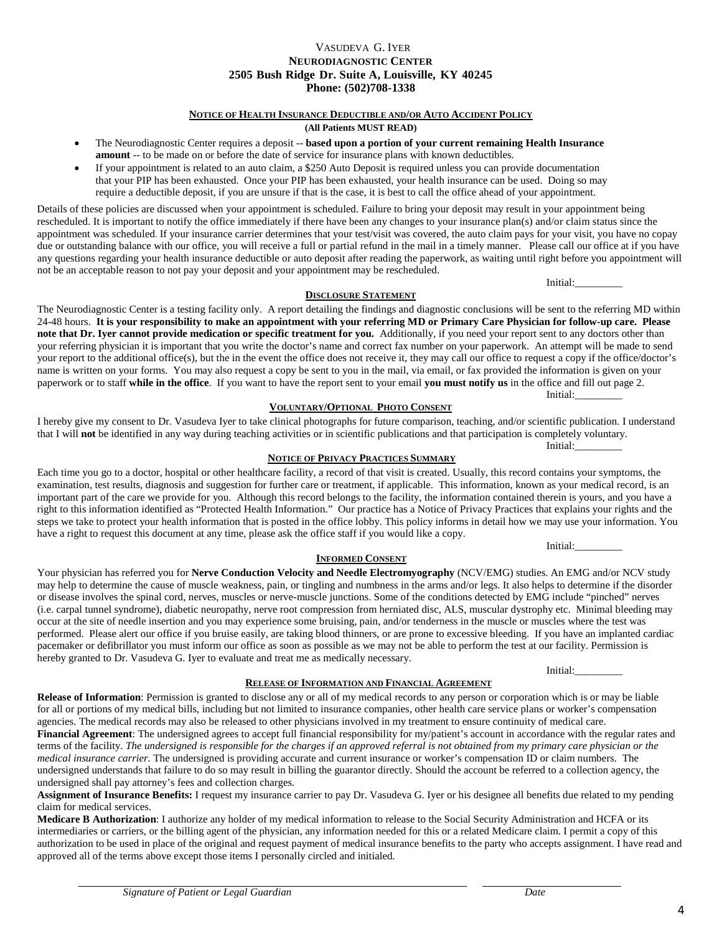### VASUDEVA G. IYER **NEURODIAGNOSTIC CENTER 2505 Bush Ridge Dr. Suite A, Louisville, KY 40245 Phone: (502)708-1338**

# **NOTICE OF HEALTH INSURANCE DEDUCTIBLE AND/OR AUTO ACCIDENT POLICY**

#### **(All Patients MUST READ)**

- The Neurodiagnostic Center requires a deposit -- **based upon a portion of your current remaining Health Insurance amount** -- to be made on or before the date of service for insurance plans with known deductibles.
- If your appointment is related to an auto claim, a \$250 Auto Deposit is required unless you can provide documentation that your PIP has been exhausted. Once your PIP has been exhausted, your health insurance can be used. Doing so may require a deductible deposit, if you are unsure if that is the case, it is best to call the office ahead of your appointment.

Details of these policies are discussed when your appointment is scheduled. Failure to bring your deposit may result in your appointment being rescheduled. It is important to notify the office immediately if there have been any changes to your insurance plan(s) and/or claim status since the appointment was scheduled. If your insurance carrier determines that your test/visit was covered, the auto claim pays for your visit, you have no copay due or outstanding balance with our office, you will receive a full or partial refund in the mail in a timely manner. Please call our office at if you have any questions regarding your health insurance deductible or auto deposit after reading the paperwork, as waiting until right before you appointment will not be an acceptable reason to not pay your deposit and your appointment may be rescheduled.

The Neurodiagnostic Center is a testing facility only. A report detailing the findings and diagnostic conclusions will be sent to the referring MD within 24-48 hours. **It is your responsibility to make an appointment with your referring MD or Primary Care Physician for follow-up care. Please note that Dr. Iver cannot provide medication or specific treatment for you.** Additionally, if you need your report sent to any doctors other than your referring physician it is important that you write the doctor's name and correct fax number on your paperwork. An attempt will be made to send your report to the additional office(s), but the in the event the office does not receive it, they may call our office to request a copy if the office/doctor's name is written on your forms. You may also request a copy be sent to you in the mail, via email, or fax provided the information is given on your paperwork or to staff **while in the office**. If you want to have the report sent to your email **you must notify us** in the office and fill out page 2.

**DISCLOSURE STATEMENT**

#### **VOLUNTARY/OPTIONAL PHOTO CONSENT**

I hereby give my consent to Dr. Vasudeva Iyer to take clinical photographs for future comparison, teaching, and/or scientific publication. I understand that I will **not** be identified in any way during teaching activities or in scientific publications and that participation is completely voluntary. Initial:

#### **NOTICE OF PRIVACY PRACTICES SUMMARY**

Each time you go to a doctor, hospital or other healthcare facility, a record of that visit is created. Usually, this record contains your symptoms, the examination, test results, diagnosis and suggestion for further care or treatment, if applicable. This information, known as your medical record, is an important part of the care we provide for you. Although this record belongs to the facility, the information contained therein is yours, and you have a right to this information identified as "Protected Health Information." Our practice has a Notice of Privacy Practices that explains your rights and the steps we take to protect your health information that is posted in the office lobby. This policy informs in detail how we may use your information. You have a right to request this document at any time, please ask the office staff if you would like a copy.

**INFORMED CONSENT**

Your physician has referred you for **Nerve Conduction Velocity and Needle Electromyography** (NCV/EMG) studies. An EMG and/or NCV study may help to determine the cause of muscle weakness, pain, or tingling and numbness in the arms and/or legs. It also helps to determine if the disorder or disease involves the spinal cord, nerves, muscles or nerve-muscle junctions. Some of the conditions detected by EMG include "pinched" nerves (i.e. carpal tunnel syndrome), diabetic neuropathy, nerve root compression from herniated disc, ALS, muscular dystrophy etc. Minimal bleeding may occur at the site of needle insertion and you may experience some bruising, pain, and/or tenderness in the muscle or muscles where the test was performed. Please alert our office if you bruise easily, are taking blood thinners, or are prone to excessive bleeding. If you have an implanted cardiac pacemaker or defibrillator you must inform our office as soon as possible as we may not be able to perform the test at our facility. Permission is hereby granted to Dr. Vasudeva G. Iyer to evaluate and treat me as medically necessary.

#### **RELEASE OF INFORMATION AND FINANCIAL AGREEMENT**

**Release of Information**: Permission is granted to disclose any or all of my medical records to any person or corporation which is or may be liable for all or portions of my medical bills, including but not limited to insurance companies, other health care service plans or worker's compensation agencies. The medical records may also be released to other physicians involved in my treatment to ensure continuity of medical care. **Financial Agreement**: The undersigned agrees to accept full financial responsibility for my/patient's account in accordance with the regular rates and terms of the facility. *The undersigned is responsible for the charges if an approved referral is not obtained from my primary care physician or the medical insurance carrier.* The undersigned is providing accurate and current insurance or worker's compensation ID or claim numbers. The undersigned understands that failure to do so may result in billing the guarantor directly. Should the account be referred to a collection agency, the undersigned shall pay attorney's fees and collection charges.

**Assignment of Insurance Benefits:** I request my insurance carrier to pay Dr. Vasudeva G. Iyer or his designee all benefits due related to my pending claim for medical services.

**Medicare B Authorization**: I authorize any holder of my medical information to release to the Social Security Administration and HCFA or its intermediaries or carriers, or the billing agent of the physician, any information needed for this or a related Medicare claim. I permit a copy of this authorization to be used in place of the original and request payment of medical insurance benefits to the party who accepts assignment. I have read and approved all of the terms above except those items I personally circled and initialed.

Initial:

Initial:\_\_\_\_\_\_\_\_\_

Initial:

Initial: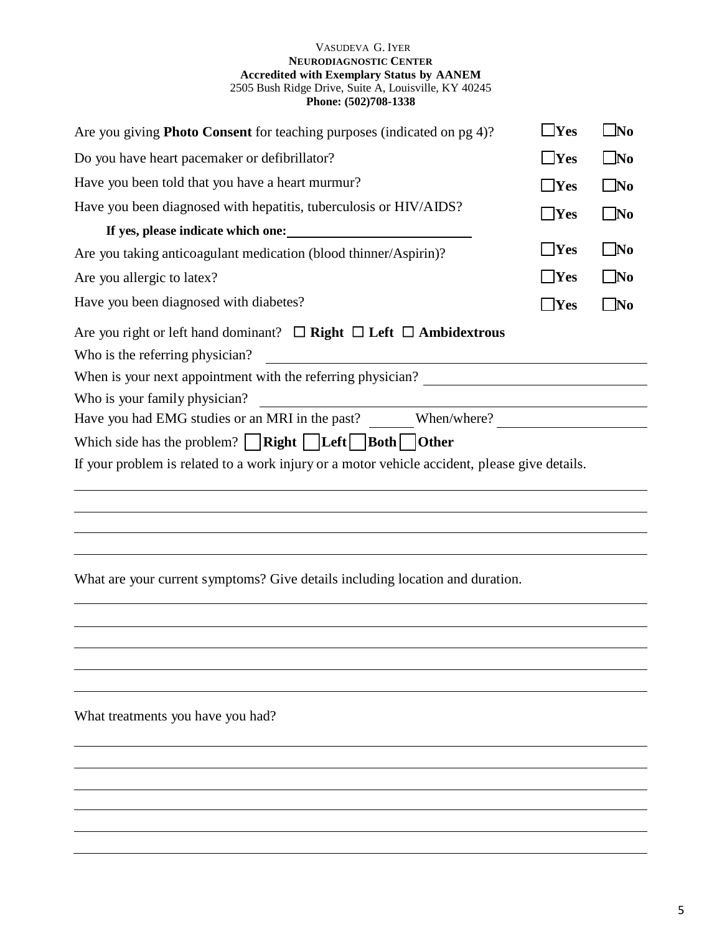# VASUDEVA G. IYER **NEURODIAGNOSTIC CENTER Accredited with Exemplary Status by AANEM** 2505 Bush Ridge Drive, Suite A, Louisville, KY 40245 **Phone: (502)708-1338**

| Are you giving Photo Consent for teaching purposes (indicated on pg 4)?                       | $\Box$ Yes | $\bigsqcup$ No |
|-----------------------------------------------------------------------------------------------|------------|----------------|
|                                                                                               | $\Box$ Yes | $\square$ No   |
| Do you have heart pacemaker or defibrillator?                                                 |            |                |
| Have you been told that you have a heart murmur?                                              | $\Box$ Yes | $\square$ No   |
| Have you been diagnosed with hepatitis, tuberculosis or HIV/AIDS?                             | $\Box$ Yes | $\square$ No   |
| If yes, please indicate which one:                                                            |            |                |
| Are you taking anticoagulant medication (blood thinner/Aspirin)?                              | $\Box$ Yes | No             |
| Are you allergic to latex?                                                                    | $\Box$ Yes | $\Box$ No      |
| Have you been diagnosed with diabetes?                                                        | $\Box$ Yes | $\square$ No   |
| Are you right or left hand dominant? $\Box$ Right $\Box$ Left $\Box$ Ambidextrous             |            |                |
| Who is the referring physician?                                                               |            |                |
| When is your next appointment with the referring physician?                                   |            |                |
| Who is your family physician?                                                                 |            |                |
| Have you had EMG studies or an MRI in the past? When/where?                                   |            |                |
| Which side has the problem? $\Box$ Right $\Box$ Left $\Box$ Both $\Box$ Other                 |            |                |
| If your problem is related to a work injury or a motor vehicle accident, please give details. |            |                |
|                                                                                               |            |                |
|                                                                                               |            |                |
|                                                                                               |            |                |
| What are your current symptoms? Give details including location and duration.                 |            |                |
|                                                                                               |            |                |
|                                                                                               |            |                |
|                                                                                               |            |                |

What treatments you have you had?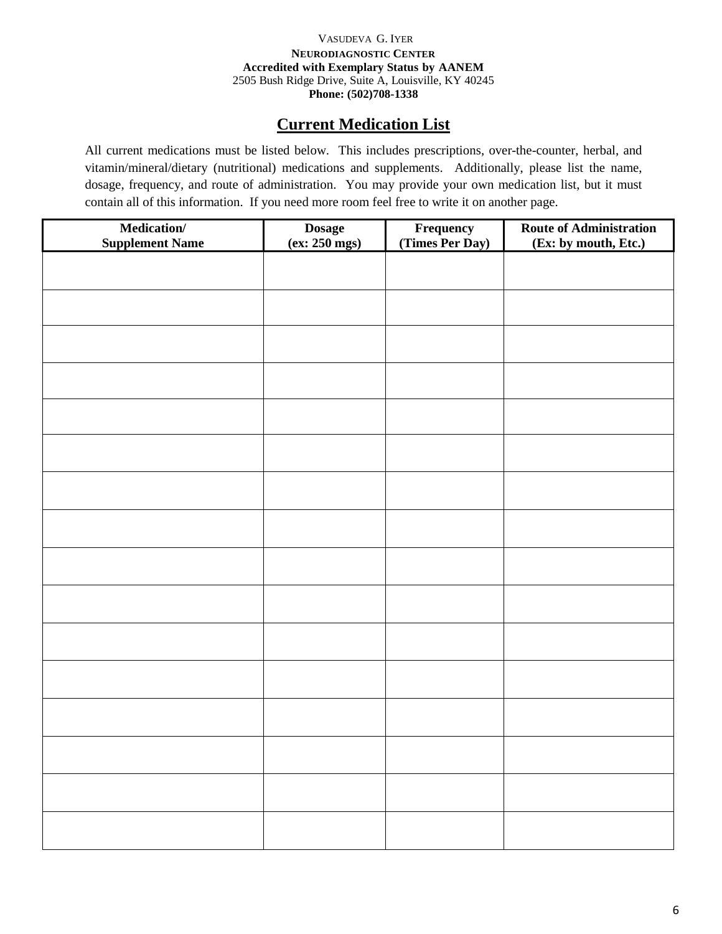# VASUDEVA G. IYER **NEURODIAGNOSTIC CENTER Accredited with Exemplary Status by AANEM** 2505 Bush Ridge Drive, Suite A, Louisville, KY 40245 **Phone: (502)708-1338**

# **Current Medication List**

All current medications must be listed below. This includes prescriptions, over-the-counter, herbal, and vitamin/mineral/dietary (nutritional) medications and supplements. Additionally, please list the name, dosage, frequency, and route of administration. You may provide your own medication list, but it must contain all of this information. If you need more room feel free to write it on another page.

| Medication/<br><b>Supplement Name</b> | Dosage<br>(ex: 250 mgs) | <b>Frequency</b><br>(Times Per Day) | <b>Route of Administration</b><br>(Ex: by mouth, Etc.) |
|---------------------------------------|-------------------------|-------------------------------------|--------------------------------------------------------|
|                                       |                         |                                     |                                                        |
|                                       |                         |                                     |                                                        |
|                                       |                         |                                     |                                                        |
|                                       |                         |                                     |                                                        |
|                                       |                         |                                     |                                                        |
|                                       |                         |                                     |                                                        |
|                                       |                         |                                     |                                                        |
|                                       |                         |                                     |                                                        |
|                                       |                         |                                     |                                                        |
|                                       |                         |                                     |                                                        |
|                                       |                         |                                     |                                                        |
|                                       |                         |                                     |                                                        |
|                                       |                         |                                     |                                                        |
|                                       |                         |                                     |                                                        |
|                                       |                         |                                     |                                                        |
|                                       |                         |                                     |                                                        |
|                                       |                         |                                     |                                                        |
|                                       |                         |                                     |                                                        |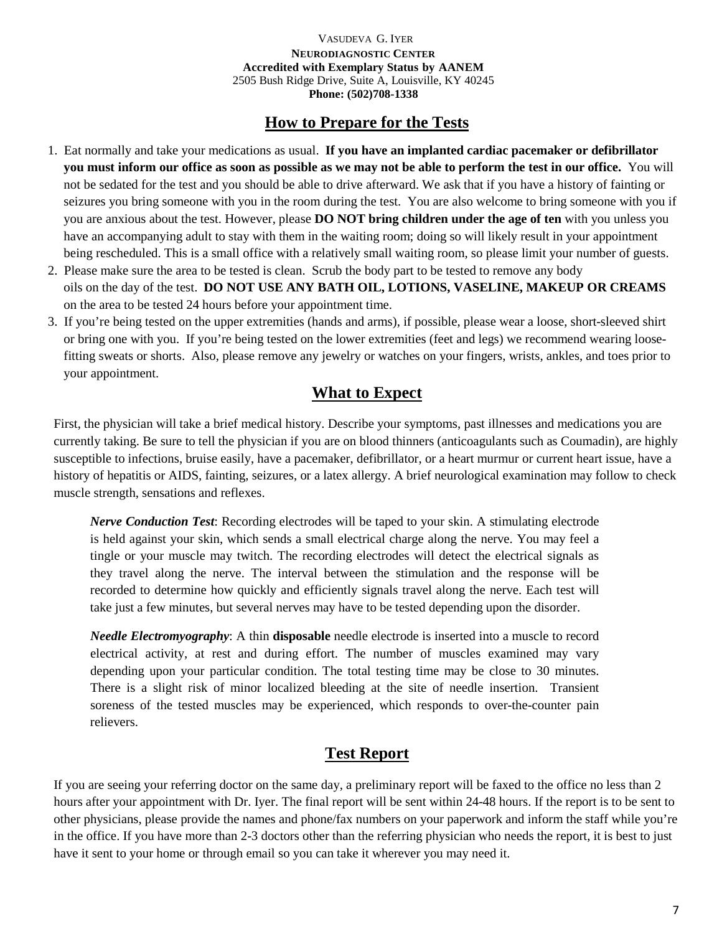VASUDEVA G. IYER **NEURODIAGNOSTIC CENTER Accredited with Exemplary Status by AANEM** 2505 Bush Ridge Drive, Suite A, Louisville, KY 40245 **Phone: (502)708-1338**

# **How to Prepare for the Tests**

- 1. Eat normally and take your medications as usual. **If you have an implanted cardiac pacemaker or defibrillator you must inform our office as soon as possible as we may not be able to perform the test in our office.** You will not be sedated for the test and you should be able to drive afterward. We ask that if you have a history of fainting or seizures you bring someone with you in the room during the test. You are also welcome to bring someone with you if you are anxious about the test. However, please **DO NOT bring children under the age of ten** with you unless you have an accompanying adult to stay with them in the waiting room; doing so will likely result in your appointment being rescheduled. This is a small office with a relatively small waiting room, so please limit your number of guests.
- 2. Please make sure the area to be tested is clean. Scrub the body part to be tested to remove any body oils on the day of the test. **DO NOT USE ANY BATH OIL, LOTIONS, VASELINE, MAKEUP OR CREAMS**  on the area to be tested 24 hours before your appointment time.
- 3. If you're being tested on the upper extremities (hands and arms), if possible, please wear a loose, short-sleeved shirt or bring one with you. If you're being tested on the lower extremities (feet and legs) we recommend wearing loosefitting sweats or shorts. Also, please remove any jewelry or watches on your fingers, wrists, ankles, and toes prior to your appointment.

# **What to Expect**

First, the physician will take a brief medical history. Describe your symptoms, past illnesses and medications you are currently taking. Be sure to tell the physician if you are on blood thinners (anticoagulants such as Coumadin), are highly susceptible to infections, bruise easily, have a pacemaker, defibrillator, or a heart murmur or current heart issue, have a history of hepatitis or AIDS, fainting, seizures, or a latex allergy. A brief neurological examination may follow to check muscle strength, sensations and reflexes.

*Nerve Conduction Test*: Recording electrodes will be taped to your skin. A stimulating electrode is held against your skin, which sends a small electrical charge along the nerve. You may feel a tingle or your muscle may twitch. The recording electrodes will detect the electrical signals as they travel along the nerve. The interval between the stimulation and the response will be recorded to determine how quickly and efficiently signals travel along the nerve. Each test will take just a few minutes, but several nerves may have to be tested depending upon the disorder.

*Needle Electromyography*: A thin **disposable** needle electrode is inserted into a muscle to record electrical activity, at rest and during effort. The number of muscles examined may vary depending upon your particular condition. The total testing time may be close to 30 minutes. There is a slight risk of minor localized bleeding at the site of needle insertion. Transient soreness of the tested muscles may be experienced, which responds to over-the-counter pain relievers.

# **Test Report**

If you are seeing your referring doctor on the same day, a preliminary report will be faxed to the office no less than 2 hours after your appointment with Dr. Iyer. The final report will be sent within 24-48 hours. If the report is to be sent to other physicians, please provide the names and phone/fax numbers on your paperwork and inform the staff while you're in the office. If you have more than 2-3 doctors other than the referring physician who needs the report, it is best to just have it sent to your home or through email so you can take it wherever you may need it.